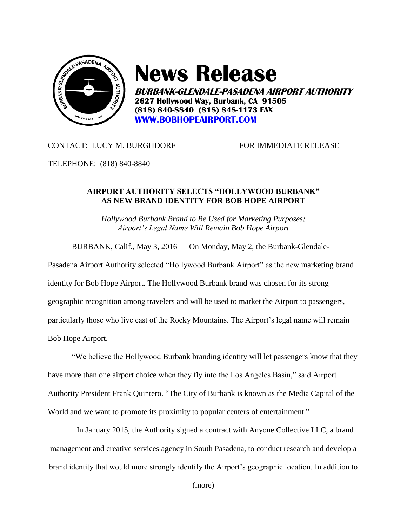

## **News Release**

**BURBANK-GLENDALE-PASADENA AIRPORT AUTHORITY 2627 Hollywood Way, Burbank, CA 91505 (818) 840-8840 (818) 848-1173 FAX [WWW.BOBHOPEAIRPORT.COM](http://www.bobhopeairport.com/)**

CONTACT: LUCY M. BURGHDORF FOR IMMEDIATE RELEASE

TELEPHONE: (818) 840-8840

## **AIRPORT AUTHORITY SELECTS "HOLLYWOOD BURBANK" AS NEW BRAND IDENTITY FOR BOB HOPE AIRPORT**

*Hollywood Burbank Brand to Be Used for Marketing Purposes; Airport's Legal Name Will Remain Bob Hope Airport*

BURBANK, Calif., May 3, 2016 — On Monday, May 2, the Burbank-Glendale-

Pasadena Airport Authority selected "Hollywood Burbank Airport" as the new marketing brand identity for Bob Hope Airport. The Hollywood Burbank brand was chosen for its strong geographic recognition among travelers and will be used to market the Airport to passengers, particularly those who live east of the Rocky Mountains. The Airport's legal name will remain Bob Hope Airport.

"We believe the Hollywood Burbank branding identity will let passengers know that they have more than one airport choice when they fly into the Los Angeles Basin," said Airport Authority President Frank Quintero. "The City of Burbank is known as the Media Capital of the World and we want to promote its proximity to popular centers of entertainment."

In January 2015, the Authority signed a contract with Anyone Collective LLC, a brand management and creative services agency in South Pasadena, to conduct research and develop a brand identity that would more strongly identify the Airport's geographic location. In addition to